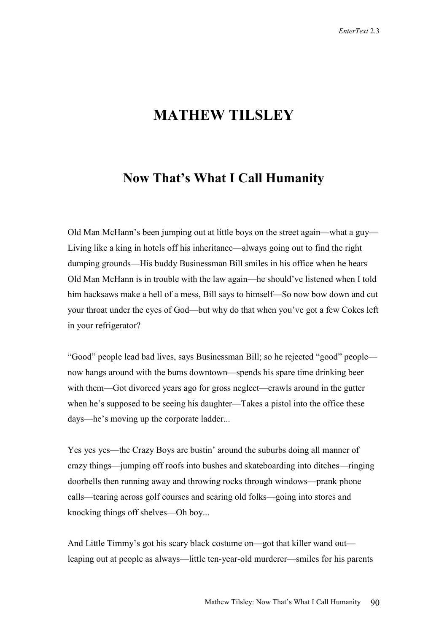## **MATHEW TILSLEY**

## **Now That's What I Call Humanity**

Old Man McHann's been jumping out at little boys on the street again—what a guy— Living like a king in hotels off his inheritance—always going out to find the right dumping grounds—His buddy Businessman Bill smiles in his office when he hears Old Man McHann is in trouble with the law again—he should've listened when I told him hacksaws make a hell of a mess, Bill says to himself—So now bow down and cut your throat under the eyes of God—but why do that when you've got a few Cokes left in your refrigerator?

"Good" people lead bad lives, says Businessman Bill; so he rejected "good" people now hangs around with the bums downtown—spends his spare time drinking beer with them—Got divorced years ago for gross neglect—crawls around in the gutter when he's supposed to be seeing his daughter—Takes a pistol into the office these days—he's moving up the corporate ladder...

Yes yes yes—the Crazy Boys are bustin' around the suburbs doing all manner of crazy things—jumping off roofs into bushes and skateboarding into ditches—ringing doorbells then running away and throwing rocks through windows—prank phone calls—tearing across golf courses and scaring old folks—going into stores and knocking things off shelves—Oh boy...

And Little Timmy's got his scary black costume on—got that killer wand out leaping out at people as always—little ten-year-old murderer—smiles for his parents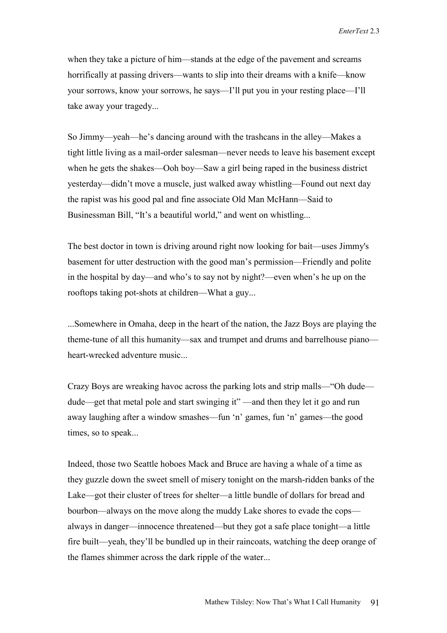when they take a picture of him—stands at the edge of the pavement and screams horrifically at passing drivers—wants to slip into their dreams with a knife—know your sorrows, know your sorrows, he says—I'll put you in your resting place—I'll take away your tragedy...

So Jimmy—yeah—he's dancing around with the trashcans in the alley—Makes a tight little living as a mail-order salesman—never needs to leave his basement except when he gets the shakes—Ooh boy—Saw a girl being raped in the business district yesterday—didn't move a muscle, just walked away whistling—Found out next day the rapist was his good pal and fine associate Old Man McHann—Said to Businessman Bill, "It's a beautiful world," and went on whistling...

The best doctor in town is driving around right now looking for bait—uses Jimmy's basement for utter destruction with the good man's permission—Friendly and polite in the hospital by day—and who's to say not by night?—even when's he up on the rooftops taking pot-shots at children—What a guy...

...Somewhere in Omaha, deep in the heart of the nation, the Jazz Boys are playing the theme-tune of all this humanity—sax and trumpet and drums and barrelhouse piano heart-wrecked adventure music...

Crazy Boys are wreaking havoc across the parking lots and strip malls—"Oh dude dude—get that metal pole and start swinging it" —and then they let it go and run away laughing after a window smashes—fun 'n' games, fun 'n' games—the good times, so to speak...

Indeed, those two Seattle hoboes Mack and Bruce are having a whale of a time as they guzzle down the sweet smell of misery tonight on the marsh-ridden banks of the Lake—got their cluster of trees for shelter—a little bundle of dollars for bread and bourbon—always on the move along the muddy Lake shores to evade the cops always in danger—innocence threatened—but they got a safe place tonight—a little fire built—yeah, they'll be bundled up in their raincoats, watching the deep orange of the flames shimmer across the dark ripple of the water...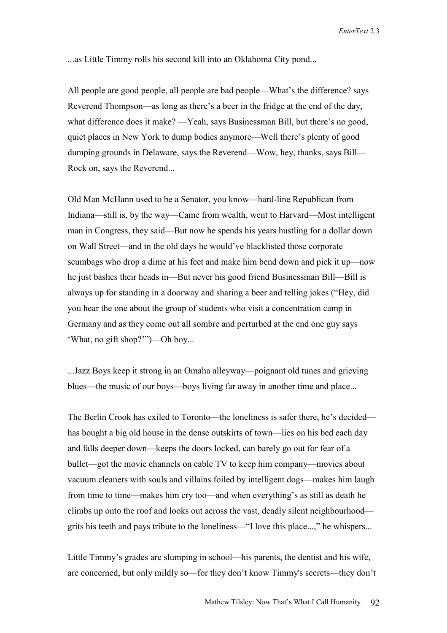...as Little Timmy rolls his second kill into an Oklahoma City pond...

All people are good people, all people are bad people—What's the difference? says Reverend Thompson—as long as there's a beer in the fridge at the end of the day, what difference does it make? —Yeah, says Businessman Bill, but there's no good, quiet places in New York to dump bodies anymore—Well there's plenty of good dumping grounds in Delaware, says the Reverend—Wow, hey, thanks, says Bill— Rock on, says the Reverend...

Old Man McHann used to be a Senator, you know—hard-line Republican from Indiana—still is, by the way—Came from wealth, went to Harvard—Most intelligent man in Congress, they said—But now he spends his years hustling for a dollar down on Wall Street—and in the old days he would've blacklisted those corporate scumbags who drop a dime at his feet and make him bend down and pick it up—now he just bashes their heads in—But never his good friend Businessman Bill—Bill is always up for standing in a doorway and sharing a beer and telling jokes ("Hey, did you hear the one about the group of students who visit a concentration camp in Germany and as they come out all sombre and perturbed at the end one guy says 'What, no gift shop?'")—Oh boy...

...Jazz Boys keep it strong in an Omaha alleyway—poignant old tunes and grieving blues—the music of our boys—boys living far away in another time and place...

The Berlin Crook has exiled to Toronto—the loneliness is safer there, he's decided has bought a big old house in the dense outskirts of town—lies on his bed each day and falls deeper down—keeps the doors locked, can barely go out for fear of a bullet—got the movie channels on cable TV to keep him company—movies about vacuum cleaners with souls and villains foiled by intelligent dogs—makes him laugh from time to time—makes him cry too—and when everything's as still as death he climbs up onto the roof and looks out across the vast, deadly silent neighbourhood grits his teeth and pays tribute to the loneliness—"I love this place...," he whispers...

Little Timmy's grades are slumping in school—his parents, the dentist and his wife, are concerned, but only mildly so—for they don't know Timmy's secrets—they don't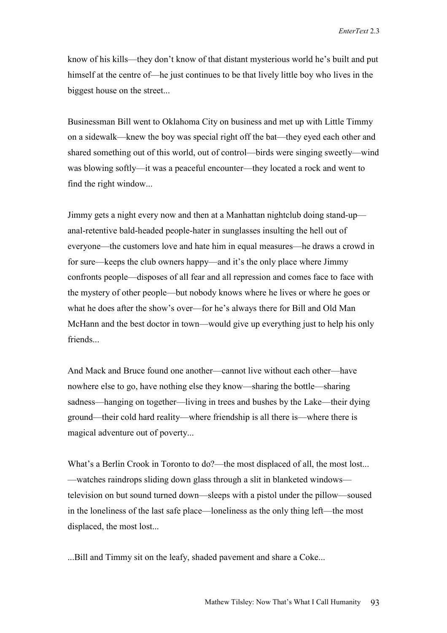know of his kills—they don't know of that distant mysterious world he's built and put himself at the centre of—he just continues to be that lively little boy who lives in the biggest house on the street...

Businessman Bill went to Oklahoma City on business and met up with Little Timmy on a sidewalk—knew the boy was special right off the bat—they eyed each other and shared something out of this world, out of control—birds were singing sweetly—wind was blowing softly—it was a peaceful encounter—they located a rock and went to find the right window...

Jimmy gets a night every now and then at a Manhattan nightclub doing stand-up anal-retentive bald-headed people-hater in sunglasses insulting the hell out of everyone—the customers love and hate him in equal measures—he draws a crowd in for sure—keeps the club owners happy—and it's the only place where Jimmy confronts people—disposes of all fear and all repression and comes face to face with the mystery of other people—but nobody knows where he lives or where he goes or what he does after the show's over—for he's always there for Bill and Old Man McHann and the best doctor in town—would give up everything just to help his only friends...

And Mack and Bruce found one another—cannot live without each other—have nowhere else to go, have nothing else they know—sharing the bottle—sharing sadness—hanging on together—living in trees and bushes by the Lake—their dying ground—their cold hard reality—where friendship is all there is—where there is magical adventure out of poverty...

What's a Berlin Crook in Toronto to do?—the most displaced of all, the most lost... —watches raindrops sliding down glass through a slit in blanketed windows television on but sound turned down—sleeps with a pistol under the pillow—soused in the loneliness of the last safe place—loneliness as the only thing left—the most displaced, the most lost...

...Bill and Timmy sit on the leafy, shaded pavement and share a Coke...